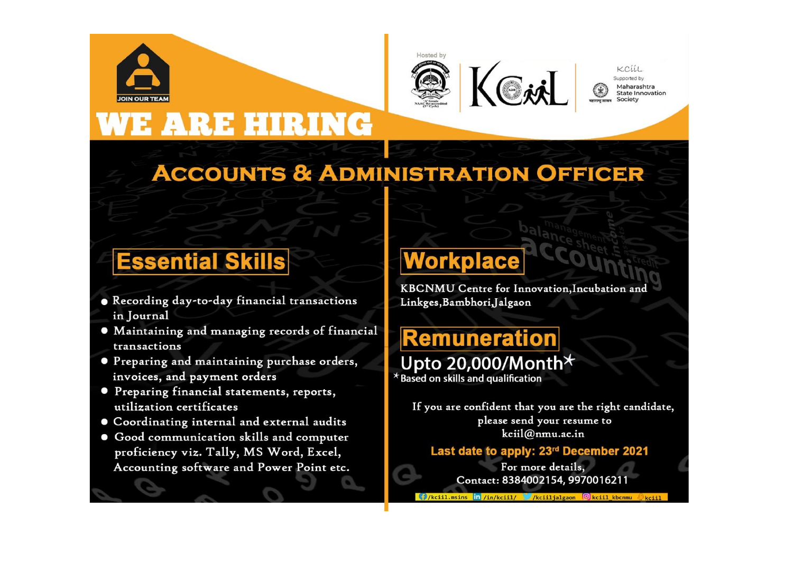

RE HIRING



KCLLL Supported by Maharashtra **State Innovation** 

## **ACCOUNTS & ADMINISTRATION OFFICER**

## **Essential Skills**

- . Recording day-to-day financial transactions in Journal
- Maintaining and managing records of financial transactions
- **Preparing and maintaining purchase orders,** invoices, and payment orders
- **Preparing financial statements, reports,** utilization certificates
- **Coordinating internal and external audits**
- Good communication skills and computer proficiency viz. Tally, MS Word, Excel, Accounting software and Power Point etc.

# Workplace

KBCNMU Centre for Innovation, Incubation and Linkges, Bambhori, Jalgaon

## **Remuneration** Upto 20,000/Month\*

 $*$  Based on skills and qualification

If you are confident that you are the right candidate, please send your resume to kciil@nmu.ac.in

#### Last date to apply: 23rd December 2021

For more details, Contact: 8384002154, 9970016211

( /kciil.msins in /in/kciil/ /kciiljalgaon © kciil\_kbcnmu © kciil